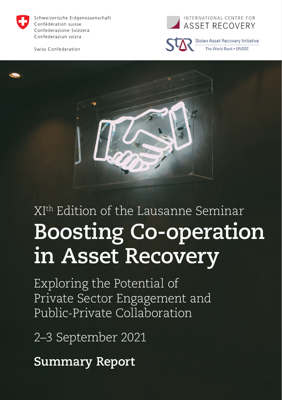

Schweizerische Eidgenossenschaft Confédération suisse Confederazione Svizzera Confederaziun svizra

Swiss Confederation





**Stolen Asset Recovery Initiative** The World Bank . UNODC



# XIth Edition of the Lausanne Seminar **Boosting Co-operation in Asset Recovery**

Exploring the Potential of Private Sector Engagement and Public-Private Collaboration

2–3 September 2021

**Summary Report**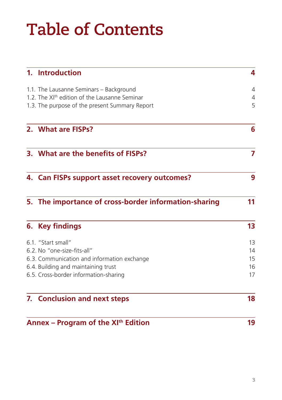## **Table of Contents**

|                                                 | 1. Introduction                                           | 4  |
|-------------------------------------------------|-----------------------------------------------------------|----|
|                                                 | 1.1. The Lausanne Seminars - Background                   | 4  |
|                                                 | 1.2. The XI <sup>th</sup> edition of the Lausanne Seminar | 4  |
|                                                 | 1.3. The purpose of the present Summary Report            | 5  |
|                                                 | 2. What are FISPs?                                        | 6  |
|                                                 | 3. What are the benefits of FISPs?                        | 7  |
|                                                 | 4. Can FISPs support asset recovery outcomes?             | 9  |
|                                                 | 5. The importance of cross-border information-sharing     | 11 |
|                                                 | 6. Key findings                                           | 13 |
|                                                 | 6.1. "Start small"                                        | 13 |
|                                                 | 6.2. No "one-size-fits-all"                               | 14 |
|                                                 | 6.3. Communication and information exchange               | 15 |
|                                                 | 6.4. Building and maintaining trust                       | 16 |
|                                                 | 6.5. Cross-border information-sharing                     | 17 |
|                                                 | 7. Conclusion and next steps                              | 18 |
| Annex - Program of the XI <sup>th</sup> Edition |                                                           | 19 |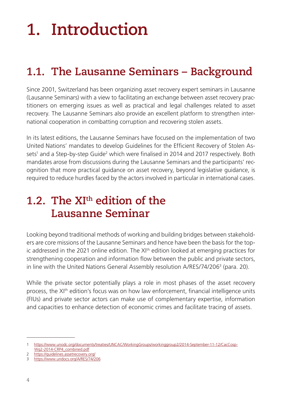# <span id="page-3-0"></span>**1. Introduction**

### **1.1. The Lausanne Seminars – Background**

Since 2001, Switzerland has been organizing asset recovery expert seminars in Lausanne (Lausanne Seminars) with a view to facilitating an exchange between asset recovery practitioners on emerging issues as well as practical and legal challenges related to asset recovery. The Lausanne Seminars also provide an excellent platform to strengthen international cooperation in combatting corruption and recovering stolen assets.

In its latest editions, the Lausanne Seminars have focused on the implementation of two United Nations' mandates to develop Guidelines for the Efficient Recovery of Stolen Assets<sup>1</sup> and a Step-by-step Guide<sup>2</sup> which were finalised in 2014 and 2017 respectively. Both mandates arose from discussions during the Lausanne Seminars and the participants' recognition that more practical guidance on asset recovery, beyond legislative guidance, is required to reduce hurdles faced by the actors involved in particular in international cases.

#### **1.2. The XIth edition of the Lausanne Seminar**

Looking beyond traditional methods of working and building bridges between stakeholders are core missions of the Lausanne Seminars and hence have been the basis for the topic addressed in the 2021 online edition. The  $XI<sup>th</sup>$  edition looked at emerging practices for strengthening cooperation and information flow between the public and private sectors, in line with the United Nations General Assembly resolution A/RES/74/2063 (para. 20).

While the private sector potentially plays a role in most phases of the asset recovery process, the XI<sup>th</sup> edition's focus was on how law enforcement, financial intelligence units (FIUs) and private sector actors can make use of complementary expertise, information and capacities to enhance detection of economic crimes and facilitate tracing of assets.

<sup>1</sup> [https://www.unodc.org/documents/treaties/UNCAC/WorkingGroups/workinggroup2/2014-September-11-12/CacCosp-](https://www.unodc.org/documents/treaties/UNCAC/WorkingGroups/workinggroup2/2014-September-11-12/CacCospWg2-2014-CRP4_combined.pdf)[Wg2-2014-CRP4\\_combined.pdf](https://www.unodc.org/documents/treaties/UNCAC/WorkingGroups/workinggroup2/2014-September-11-12/CacCospWg2-2014-CRP4_combined.pdf)

<sup>2</sup> <https://guidelines.assetrecovery.org/>

<sup>3</sup> <https://www.undocs.org/A/RES/74/206>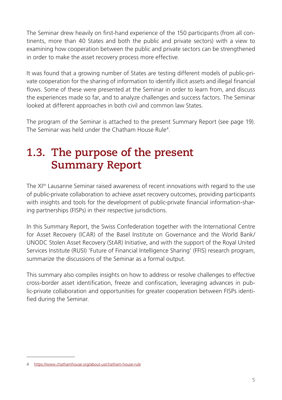<span id="page-4-0"></span>The Seminar drew heavily on first-hand experience of the 150 participants (from all continents, more than 40 States and both the public and private sectors) with a view to examining how cooperation between the public and private sectors can be strengthened in order to make the asset recovery process more effective.

It was found that a growing number of States are testing different models of public-private cooperation for the sharing of information to identify illicit assets and illegal financial flows. Some of these were presented at the Seminar in order to learn from, and discuss the experiences made so far, and to analyze challenges and success factors. The Seminar looked at different approaches in both civil and common law States.

The program of the Seminar is attached to the present Summary Report (see page 19). The Seminar was held under the Chatham House Rule<sup>4</sup>.

### **1.3. The purpose of the present Summary Report**

The XI<sup>th</sup> Lausanne Seminar raised awareness of recent innovations with regard to the use of public-private collaboration to achieve asset recovery outcomes, providing participants with insights and tools for the development of public-private financial information-sharing partnerships (FISPs) in their respective jurisdictions.

In this Summary Report, the Swiss Confederation together with the International Centre for Asset Recovery (ICAR) of the Basel Institute on Governance and the World Bank/ UNODC Stolen Asset Recovery (StAR) Initiative, and with the support of the Royal United Services Institute (RUSI) 'Future of Financial Intelligence Sharing' (FFIS) research program, summarize the discussions of the Seminar as a formal output.

This summary also compiles insights on how to address or resolve challenges to effective cross-border asset identification, freeze and confiscation, leveraging advances in public-private collaboration and opportunities for greater cooperation between FISPs identified during the Seminar.

<sup>4</sup> <https://www.chathamhouse.org/about-us/chatham-house-rule>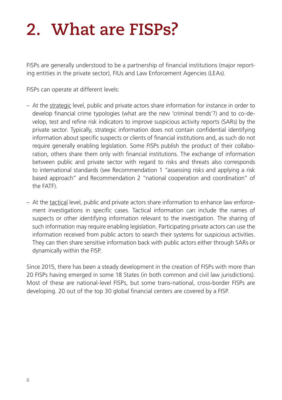## <span id="page-5-0"></span>**2. What are FISPs?**

FISPs are generally understood to be a partnership of financial institutions (major reporting entities in the private sector), FIUs and Law Enforcement Agencies (LEAs).

FISPs can operate at different levels:

- <span id="page-5-1"></span>– At the strategic level, public and private actors share information for instance in order to develop financial crime typologies (what are the new 'criminal trends'?) and to co-develop, test and refine risk indicators to improve suspicious activity reports (SARs) by the private sector. Typically, strategic information does not contain confidential identifying information about specific suspects or clients of financial institutions and, as such do not require generally enabling legislation. Some FISPs publish the product of their collaboration, others share them only with financial institutions. The exchange of information between public and private sector with regard to risks and threats also corresponds to international standards (see Recommendation 1 "assessing risks and applying a risk based approach" and Recommendation 2 "national cooperation and coordination" of the FATF).
- At the tactical level, public and private actors share information to enhance law enforcement investigations in specific cases. Tactical information can include the names of suspects or other identifying information relevant to the investigation. The sharing of such information may require enabling legislation. Participating private actors can use the information received from public actors to search their systems for suspicious activities. They can then share sensitive information back with public actors either through SARs or dynamically within the FISP.

Since 2015, there has been a steady development in the creation of FISPs with more than 20 FISPs having emerged in some 18 States (in both common and civil law jurisdictions). Most of these are national-level FISPs, but some trans-national, cross-border FISPs are developing. 20 out of the top 30 global financial centers are covered by a FISP.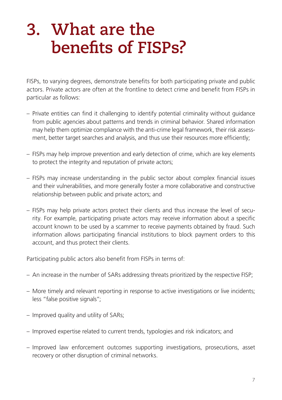## <span id="page-6-0"></span>**3. What are the benefits of FISPs?**

FISPs, to varying degrees, demonstrate benefits for both participating private and public actors. Private actors are often at the frontline to detect crime and benefit from FISPs in particular as follows:

- Private entities can find it challenging to identify potential criminality without guidance from public agencies about patterns and trends in criminal behavior. Shared information may help them optimize compliance with the anti-crime legal framework, their risk assessment, better target searches and analysis, and thus use their resources more efficiently;
- FISPs may help improve prevention and early detection of crime, which are key elements to protect the integrity and reputation of private actors;
- FISPs may increase understanding in the public sector about complex financial issues and their vulnerabilities, and more generally foster a more collaborative and constructive relationship between public and private actors; and
- FISPs may help private actors protect their clients and thus increase the level of security. For example, participating private actors may receive information about a specific account known to be used by a scammer to receive payments obtained by fraud. Such information allows participating financial institutions to block payment orders to this account, and thus protect their clients.

Participating public actors also benefit from FISPs in terms of:

- An increase in the number of SARs addressing threats prioritized by the respective FISP;
- More timely and relevant reporting in response to active investigations or live incidents; less "false positive signals";
- Improved quality and utility of SARs;
- Improved expertise related to current trends, typologies and risk indicators; and
- Improved law enforcement outcomes supporting investigations, prosecutions, asset recovery or other disruption of criminal networks.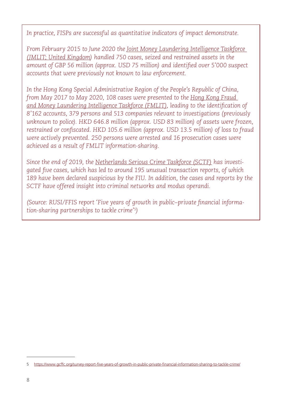*In practice, FISPs are successful as quantitative indicators of impact demonstrate.* 

*From February 2015 to June 2020 the Joint Money Laundering Intelligence Taskforce (JMLIT; United Kingdom) handled 750 cases, seized and restrained assets in the amount of GBP 56 million (approx. USD 75 million) and identified over 5'000 suspect accounts that were previously not known to law enforcement.* 

*In the Hong Kong Special Administrative Region of the People's Republic of China, from May 2017 to May 2020, 108 cases were presented to the Hong Kong Fraud and Money Laundering Intelligence Taskforce (FMLIT), leading to the identification of 8'162 accounts, 379 persons and 513 companies relevant to investigations (previously unknown to police). HKD 646.8 million (approx. USD 83 million) of assets were frozen, restrained or confiscated. HKD 105.6 million (approx. USD 13.5 million) of loss to fraud were actively prevented. 250 persons were arrested and 16 prosecution cases were achieved as a result of FMLIT information-sharing.* 

*Since the end of 2019, the Netherlands Serious Crime Taskforce (SCTF) has investigated five cases, which has led to around 195 unusual transaction reports, of which 189 have been declared suspicious by the FIU. In addition, the cases and reports by the SCTF have offered insight into criminal networks and modus operandi.*

*(Source: RUSI/FFIS report ['Five years of growth in public–private financial informa](https://www.gcffc.org/survey-report-five-years-of-growth-in-public-private-financial-information-sharing-to-tackle-crime/)[tion-sharing partnerships to tackle crime](https://www.gcffc.org/survey-report-five-years-of-growth-in-public-private-financial-information-sharing-to-tackle-crime/)' 5)*

<sup>5</sup> [https://www.gcffc.org/survey-report-five-years-of-growth-in-public-private-financial-information-sharing-to-tackle-crime/](https://www.gcffc.org/survey-report-five-years-of-growth-in-public-private-financial-information-sharing-to-tackle-crime)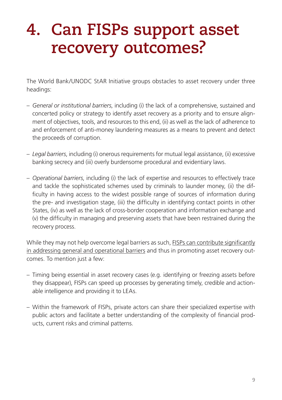## <span id="page-8-0"></span>**4. Can FISPs support asset recovery outcomes?**

The World Bank/UNODC StAR Initiative groups obstacles to asset recovery under three headings:

- *General or institutional barriers*, including (i) the lack of a comprehensive, sustained and concerted policy or strategy to identify asset recovery as a priority and to ensure alignment of objectives, tools, and resources to this end, (ii) as well as the lack of adherence to and enforcement of anti-money laundering measures as a means to prevent and detect the proceeds of corruption.
- *Legal barriers*, including (i) onerous requirements for mutual legal assistance, (ii) excessive banking secrecy and (iii) overly burdensome procedural and evidentiary laws.
- *Operational barriers*, including (i) the lack of expertise and resources to effectively trace and tackle the sophisticated schemes used by criminals to launder money, (ii) the difficulty in having access to the widest possible range of sources of information during the pre- and investigation stage, (iii) the difficulty in identifying contact points in other States, (iv) as well as the lack of cross-border cooperation and information exchange and (v) the difficulty in managing and preserving assets that have been restrained during the recovery process.

While they may not help overcome legal barriers as such, FISPs can contribute significantly in addressing general and operational barriers and thus in promoting asset recovery outcomes. To mention just a few:

- Timing being essential in asset recovery cases (e.g. identifying or freezing assets before they disappear), FISPs can speed up processes by generating timely, credible and actionable intelligence and providing it to LEAs.
- Within the framework of FISPs, private actors can share their specialized expertise with public actors and facilitate a better understanding of the complexity of financial products, current risks and criminal patterns.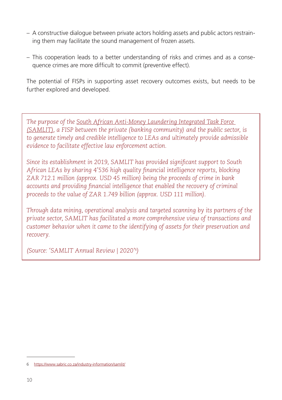- A constructive dialogue between private actors holding assets and public actors restraining them may facilitate the sound management of frozen assets.
- This cooperation leads to a better understanding of risks and crimes and as a consequence crimes are more difficult to commit (preventive effect).

The potential of FISPs in supporting asset recovery outcomes exists, but needs to be further explored and developed.

*The purpose of the South African Anti-Money Laundering Integrated Task Force (SAMLIT), a FISP between the private (banking community) and the public sector, is to generate timely and credible intelligence to LEAs and ultimately provide admissible evidence to facilitate effective law enforcement action.* 

*Since its establishment in 2019, SAMLIT has provided significant support to South African LEAs by sharing 4'536 high quality financial intelligence reports, blocking ZAR 712.1 million (approx. USD 45 million) being the proceeds of crime in bank accounts and providing financial intelligence that enabled the recovery of criminal proceeds to the value of ZAR 1.749 billion (approx. USD 111 million).*

*Through data mining, operational analysis and targeted scanning by its partners of the private sector, SAMLIT has facilitated a more comprehensive view of transactions and customer behavior when it came to the identifying of assets for their preservation and recovery.* 

*(Source: '[SAMLIT Annual Review | 2020'](https://www.sabric.co.za/industry-information/samlit/) 6)*

<sup>6</sup> <https://www.sabric.co.za/industry-information/samlit/>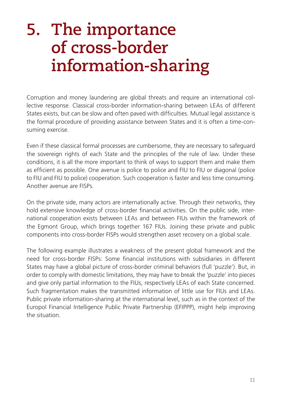## <span id="page-10-0"></span>**5. The importance of cross-border information-sharing**

Corruption and money laundering are global threats and require an international collective response. Classical cross-border information-sharing between LEAs of different States exists, but can be slow and often paved with difficulties. Mutual legal assistance is the formal procedure of providing assistance between States and it is often a time-consuming exercise.

Even if these classical formal processes are cumbersome, they are necessary to safeguard the sovereign rights of each State and the principles of the rule of law. Under these conditions, it is all the more important to think of ways to support them and make them as efficient as possible. One avenue is police to police and FIU to FIU or diagonal (police to FIU and FIU to police) cooperation. Such cooperation is faster and less time consuming. Another avenue are FISPs.

On the private side, many actors are internationally active. Through their networks, they hold extensive knowledge of cross-border financial activities. On the public side, international cooperation exists between LEAs and between FIUs within the framework of the Egmont Group, which brings together 167 FIUs. Joining these private and public components into cross-border FISPs would strengthen asset recovery on a global scale.

The following example illustrates a weakness of the present global framework and the need for cross-border FISPs: Some financial institutions with subsidiaries in different States may have a global picture of cross-border criminal behaviors (full 'puzzle'). But, in order to comply with domestic limitations, they may have to break the 'puzzle' into pieces and give only partial information to the FIUs, respectively LEAs of each State concerned. Such fragmentation makes the transmitted information of little use for FIUs and LEAs. Public private information-sharing at the international level, such as in the context of the Europol Financial Intelligence Public Private Partnership (EFIPPP), might help improving the situation.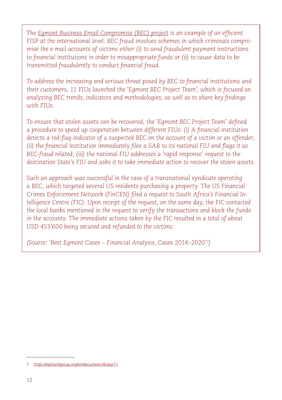*The Egmont Business Email Compromise (BEC) project is an example of an efficient FISP at the international level. BEC fraud involves schemes in which criminals compromise the e-mail accounts of victims either (i) to send fraudulent payment instructions to financial institutions in order to misappropriate funds or (ii) to cause data to be transmitted fraudulently to conduct financial fraud.* 

*To address the increasing and serious threat posed by BEC to financial institutions and their customers, 11 FIUs launched the 'Egmont BEC Project Team', which is focused on analyzing BEC trends, indicators and methodologies, as well as to share key findings with FIUs.*

*To ensure that stolen assets can be recovered, the 'Egmont BEC Project Team' defined a procedure to speed up cooperation between different FIUs: (i) A financial institution*  detects a red-flag indicator of a suspected BEC on the account of a victim or an offender; *(ii) the financial institution immediately files a SAR to its national FIU and flags it as BEC-fraud related; (iii) the national FIU addresses a 'rapid response' request to the destination State's FIU and asks it to take immediate action to recover the stolen assets.* 

*Such an approach was successful in the case of a transnational syndicate operating a BEC, which targeted several US residents purchasing a property. The US Financial Crimes Enforcement Network (FinCEN) filed a request to South Africa's Financial Intelligence Centre (FIC). Upon receipt of the request, on the same day, the FIC contacted the local banks mentioned in the request to verify the transactions and block the funds in the accounts. The immediate actions taken by the FIC resulted in a total of about USD 453'600 being secured and refunded to the victims.* 

*(Source: ['Best Egmont Cases – Financial Analysis, Cases 2014–2020](https://egmontgroup.org/en/document-library/11)' 7)*

<sup>7</sup> <https://egmontgroup.org/en/document-library/11>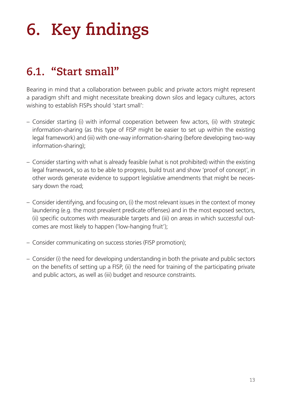# <span id="page-12-0"></span>**6. Key findings**

#### **6.1. "Start small"**

Bearing in mind that a collaboration between public and private actors might represent a paradigm shift and might necessitate breaking down silos and legacy cultures, actors wishing to establish FISPs should 'start small':

- Consider starting (i) with informal cooperation between few actors, (ii) with strategic information-sharing (as this type of FISP might be easier to set up within the existing legal framework) and (iii) with one-way information-sharing (before developing two-way information-sharing);
- Consider starting with what is already feasible (what is not prohibited) within the existing legal framework, so as to be able to progress, build trust and show 'proof of concept', in other words generate evidence to support legislative amendments that might be necessary down the road;
- Consider identifying, and focusing on, (i) the most relevant issues in the context of money laundering (e.g. the most prevalent predicate offenses) and in the most exposed sectors, (ii) specific outcomes with measurable targets and (iii) on areas in which successful outcomes are most likely to happen ('low-hanging fruit');
- Consider communicating on success stories (FISP promotion);
- Consider (i) the need for developing understanding in both the private and public sectors on the benefits of setting up a FISP, (ii) the need for training of the participating private and public actors, as well as (iii) budget and resource constraints.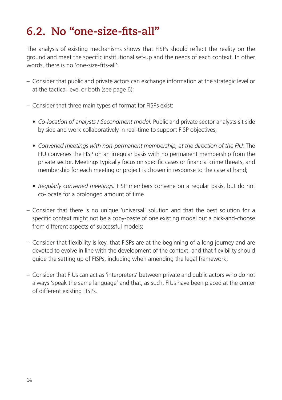### <span id="page-13-0"></span>**6.2. No "one-size-fits-all"**

The analysis of existing mechanisms shows that FISPs should reflect the reality on the ground and meet the specific institutional set-up and the needs of each context. In other words, there is no 'one-size-fits-all':

- Consider that public and private actors can exchange information at the strategic level or at the tactical level or both (see page [6\)](#page-5-1);
- Consider that three main types of format for FISPs exist:
	- *Co-location of analysts / Secondment model:* Public and private sector analysts sit side by side and work collaboratively in real-time to support FISP objectives;
	- *Convened meetings with non-permanent membership, at the direction of the FIU:* The FIU convenes the FISP on an irregular basis with no permanent membership from the private sector. Meetings typically focus on specific cases or financial crime threats, and membership for each meeting or project is chosen in response to the case at hand;
	- *Regularly convened meetings:* FISP members convene on a regular basis, but do not co-locate for a prolonged amount of time.
- Consider that there is no unique 'universal' solution and that the best solution for a specific context might not be a copy-paste of one existing model but a pick-and-choose from different aspects of successful models;
- Consider that flexibility is key, that FISPs are at the beginning of a long journey and are devoted to evolve in line with the development of the context, and that flexibility should guide the setting up of FISPs, including when amending the legal framework;
- Consider that FIUs can act as 'interpreters' between private and public actors who do not always 'speak the same language' and that, as such, FIUs have been placed at the center of different existing FISPs.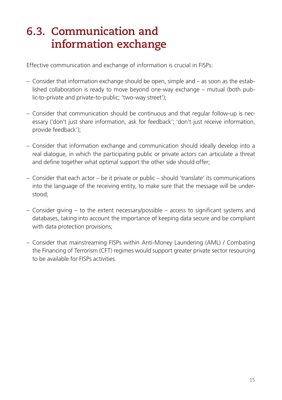### <span id="page-14-0"></span>**6.3. Communication and information exchange**

Effective communication and exchange of information is crucial in FISPs:

- Consider that information exchange should be open, simple and as soon as the established collaboration is ready to move beyond one-way exchange – mutual (both public-to-private and private-to-public; 'two-way street');
- Consider that communication should be continuous and that regular follow-up is necessary ('don't just share information, ask for feedback'; 'don't just receive information, provide feedback');
- Consider that information exchange and communication should ideally develop into a real dialogue, in which the participating public or private actors can articulate a threat and define together what optimal support the other side should offer;
- Consider that each actor be it private or public should 'translate' its communications into the language of the receiving entity, to make sure that the message will be understood;
- Consider giving to the extent necessary/possible access to significant systems and databases, taking into account the importance of keeping data secure and be compliant with data protection provisions;
- Consider that mainstreaming FISPs within Anti-Money Laundering (AML) / Combating the Financing of Terrorism (CFT) regimes would support greater private sector resourcing to be available for FISPs activities.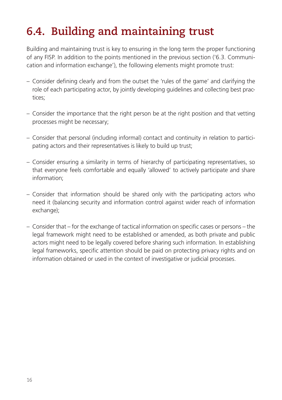### <span id="page-15-0"></span>**6.4. Building and maintaining trust**

Building and maintaining trust is key to ensuring in the long term the proper functioning of any FISP. In addition to the points mentioned in the previous section ('6.3. Communication and information exchange'), the following elements might promote trust:

- Consider defining clearly and from the outset the 'rules of the game' and clarifying the role of each participating actor, by jointly developing guidelines and collecting best practices;
- Consider the importance that the right person be at the right position and that vetting processes might be necessary;
- Consider that personal (including informal) contact and continuity in relation to participating actors and their representatives is likely to build up trust;
- Consider ensuring a similarity in terms of hierarchy of participating representatives, so that everyone feels comfortable and equally 'allowed' to actively participate and share information;
- Consider that information should be shared only with the participating actors who need it (balancing security and information control against wider reach of information exchange);
- Consider that for the exchange of tactical information on specific cases or persons the legal framework might need to be established or amended, as both private and public actors might need to be legally covered before sharing such information. In establishing legal frameworks, specific attention should be paid on protecting privacy rights and on information obtained or used in the context of investigative or judicial processes.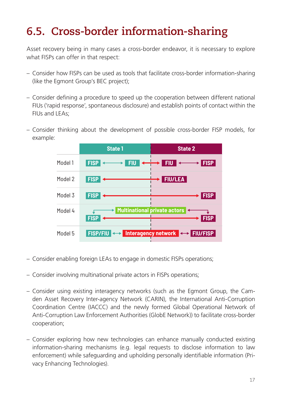### <span id="page-16-0"></span>**6.5. Cross-border information-sharing**

Asset recovery being in many cases a cross-border endeavor, it is necessary to explore what FISPs can offer in that respect:

- Consider how FISPs can be used as tools that facilitate cross-border information-sharing (like the Egmont Group's BEC project);
- Consider defining a procedure to speed up the cooperation between different national FIUs ('rapid response', spontaneous disclosure) and establish points of contact within the FIUs and LEAs;
- Consider thinking about the development of possible cross-border FISP models, for example:



- Consider enabling foreign LEAs to engage in domestic FISPs operations;
- Consider involving multinational private actors in FISPs operations;
- Consider using existing interagency networks (such as the Egmont Group, the Camden Asset Recovery Inter-agency Network (CARIN), the International Anti-Corruption Coordination Centre (IACCC) and the newly formed Global Operational Network of Anti-Corruption Law Enforcement Authorities (GlobE Network)) to facilitate cross-border cooperation;
- Consider exploring how new technologies can enhance manually conducted existing information-sharing mechanisms (e.g. legal requests to disclose information to law enforcement) while safeguarding and upholding personally identifiable information (Privacy Enhancing Technologies).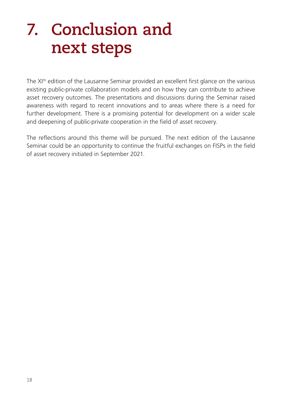## <span id="page-17-0"></span>**7. Conclusion and next steps**

The XI<sup>th</sup> edition of the Lausanne Seminar provided an excellent first glance on the various existing public-private collaboration models and on how they can contribute to achieve asset recovery outcomes. The presentations and discussions during the Seminar raised awareness with regard to recent innovations and to areas where there is a need for further development. There is a promising potential for development on a wider scale and deepening of public-private cooperation in the field of asset recovery.

The reflections around this theme will be pursued. The next edition of the Lausanne Seminar could be an opportunity to continue the fruitful exchanges on FISPs in the field of asset recovery initiated in September 2021.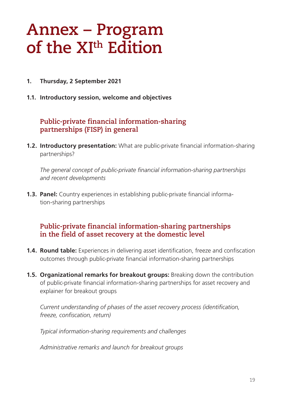### <span id="page-18-0"></span>**Annex – Program of the XIth Edition**

- **1. Thursday, 2 September 2021**
- **1.1. Introductory session, welcome and objectives**

#### **Public-private financial information-sharing partnerships (FISP) in general**

**1.2. Introductory presentation:** What are public-private financial information-sharing partnerships?

*The general concept of public-private financial information-sharing partnerships and recent developments*

**1.3. Panel:** Country experiences in establishing public-private financial information-sharing partnerships

#### **Public-private financial information-sharing partnerships in the field of asset recovery at the domestic level**

- **1.4. Round table:** Experiences in delivering asset identification, freeze and confiscation outcomes through public-private financial information-sharing partnerships
- **1.5. Organizational remarks for breakout groups:** Breaking down the contribution of public-private financial information-sharing partnerships for asset recovery and explainer for breakout groups

*Current understanding of phases of the asset recovery process (identification, freeze, confiscation, return)* 

*Typical information-sharing requirements and challenges* 

*Administrative remarks and launch for breakout groups*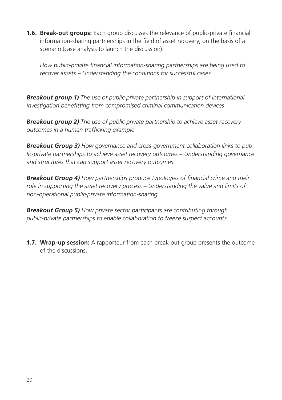**1.6. Break-out groups:** Each group discusses the relevance of public-private financial information-sharing partnerships in the field of asset recovery, on the basis of a scenario (case analysis to launch the discussion).

*How public-private financial information-sharing partnerships are being used to recover assets – Understanding the conditions for successful cases.*

*Breakout group 1) The use of public-private partnership in support of international investigation benefitting from compromised criminal communication devices*

*Breakout group 2) The use of public-private partnership to achieve asset recovery outcomes in a human trafficking example*

*Breakout Group 3) How governance and cross-government collaboration links to public-private partnerships to achieve asset recovery outcomes – Understanding governance and structures that can support asset recovery outcomes*

*Breakout Group 4) How partnerships produce typologies of financial crime and their role in supporting the asset recovery process – Understanding the value and limits of non-operational public-private information-sharing*

*Breakout Group 5) How private sector participants are contributing through public-private partnerships to enable collaboration to freeze suspect accounts*

**1.7. Wrap-up session:** A rapporteur from each break-out group presents the outcome of the discussions.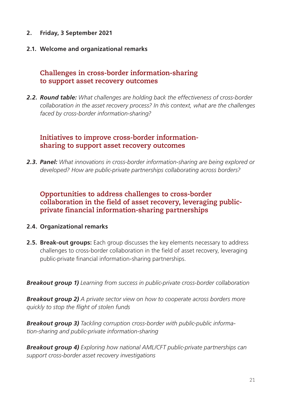- **2. Friday, 3 September 2021**
- **2.1. Welcome and organizational remarks**

#### **Challenges in cross-border information-sharing to support asset recovery outcomes**

*2.2. Round table: What challenges are holding back the effectiveness of cross-border collaboration in the asset recovery process? In this context, what are the challenges faced by cross-border information-sharing?* 

#### **Initiatives to improve cross-border informationsharing to support asset recovery outcomes**

*2.3. Panel: What innovations in cross-border information-sharing are being explored or developed? How are public-private partnerships collaborating across borders?*

#### **Opportunities to address challenges to cross-border collaboration in the field of asset recovery, leveraging publicprivate financial information-sharing partnerships**

#### **2.4. Organizational remarks**

**2.5. Break-out groups:** Each group discusses the key elements necessary to address challenges to cross-border collaboration in the field of asset recovery, leveraging public-private financial information-sharing partnerships.

*Breakout group 1) Learning from success in public-private cross-border collaboration*

*Breakout group 2) A private sector view on how to cooperate across borders more quickly to stop the flight of stolen funds*

*Breakout group 3) Tackling corruption cross-border with public-public information-sharing and public-private information-sharing* 

*Breakout group 4) Exploring how national AML/CFT public-private partnerships can support cross-border asset recovery investigations*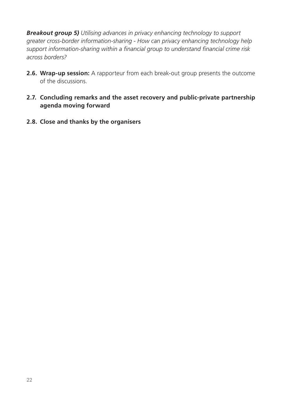*Breakout group 5) Utilising advances in privacy enhancing technology to support greater cross-border information-sharing - How can privacy enhancing technology help support information-sharing within a financial group to understand financial crime risk across borders?*

- **2.6. Wrap-up session:** A rapporteur from each break-out group presents the outcome of the discussions.
- **2.7. Concluding remarks and the asset recovery and public-private partnership agenda moving forward**
- **2.8. Close and thanks by the organisers**